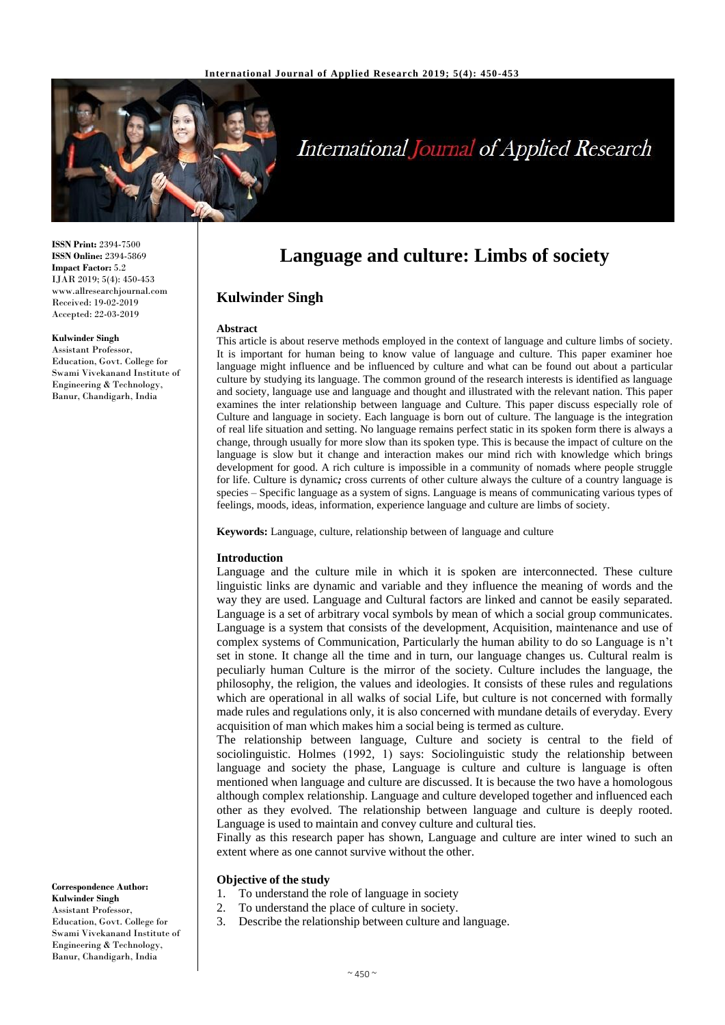

# **International Journal of Applied Research**

**Language and culture: Limbs of society**

This article is about reserve methods employed in the context of language and culture limbs of society. It is important for human being to know value of language and culture. This paper examiner hoe language might influence and be influenced by culture and what can be found out about a particular culture by studying its language. The common ground of the research interests is identified as language and society, language use and language and thought and illustrated with the relevant nation. This paper examines the inter relationship between language and Culture. This paper discuss especially role of Culture and language in society. Each language is born out of culture. The language is the integration of real life situation and setting. No language remains perfect static in its spoken form there is always a change, through usually for more slow than its spoken type. This is because the impact of culture on the language is slow but it change and interaction makes our mind rich with knowledge which brings development for good. A rich culture is impossible in a community of nomads where people struggle for life. Culture is dynamic*;* cross currents of other culture always the culture of a country language is species – Specific language as a system of signs. Language is means of communicating various types of

**ISSN Print:** 2394-7500 **ISSN Online:** 2394-5869 **Impact Factor:** 5.2 IJAR 2019; 5(4): 450-453 www.allresearchjournal.com Received: 19-02-2019 Accepted: 22-03-2019

#### **Kulwinder Singh**

Assistant Professor, Education, Govt. College for Swami Vivekanand Institute of Engineering & Technology, Banur, Chandigarh, India

**Keywords:** Language, culture, relationship between of language and culture

feelings, moods, ideas, information, experience language and culture are limbs of society.

#### **Introduction**

**Kulwinder Singh**

**Abstract**

Language and the culture mile in which it is spoken are interconnected. These culture linguistic links are dynamic and variable and they influence the meaning of words and the way they are used. Language and Cultural factors are linked and cannot be easily separated. Language is a set of arbitrary vocal symbols by mean of which a social group communicates. Language is a system that consists of the development, Acquisition, maintenance and use of complex systems of Communication, Particularly the human ability to do so Language is n't set in stone. It change all the time and in turn, our language changes us. Cultural realm is peculiarly human Culture is the mirror of the society. Culture includes the language, the philosophy, the religion, the values and ideologies. It consists of these rules and regulations which are operational in all walks of social Life, but culture is not concerned with formally made rules and regulations only, it is also concerned with mundane details of everyday. Every acquisition of man which makes him a social being is termed as culture.

The relationship between language, Culture and society is central to the field of sociolinguistic. Holmes (1992*,* 1) says: Sociolinguistic study the relationship between language and society the phase, Language is culture and culture is language is often mentioned when language and culture are discussed. It is because the two have a homologous although complex relationship. Language and culture developed together and influenced each other as they evolved. The relationship between language and culture is deeply rooted. Language is used to maintain and convey culture and cultural ties.

Finally as this research paper has shown, Language and culture are inter wined to such an extent where as one cannot survive without the other.

#### **Objective of the study**

- 1. To understand the role of language in society
- 2. To understand the place of culture in society.
- 3. Describe the relationship between culture and language.

**Correspondence Author: Kulwinder Singh** Assistant Professor, Education, Govt. College for Swami Vivekanand Institute of Engineering & Technology, Banur, Chandigarh, India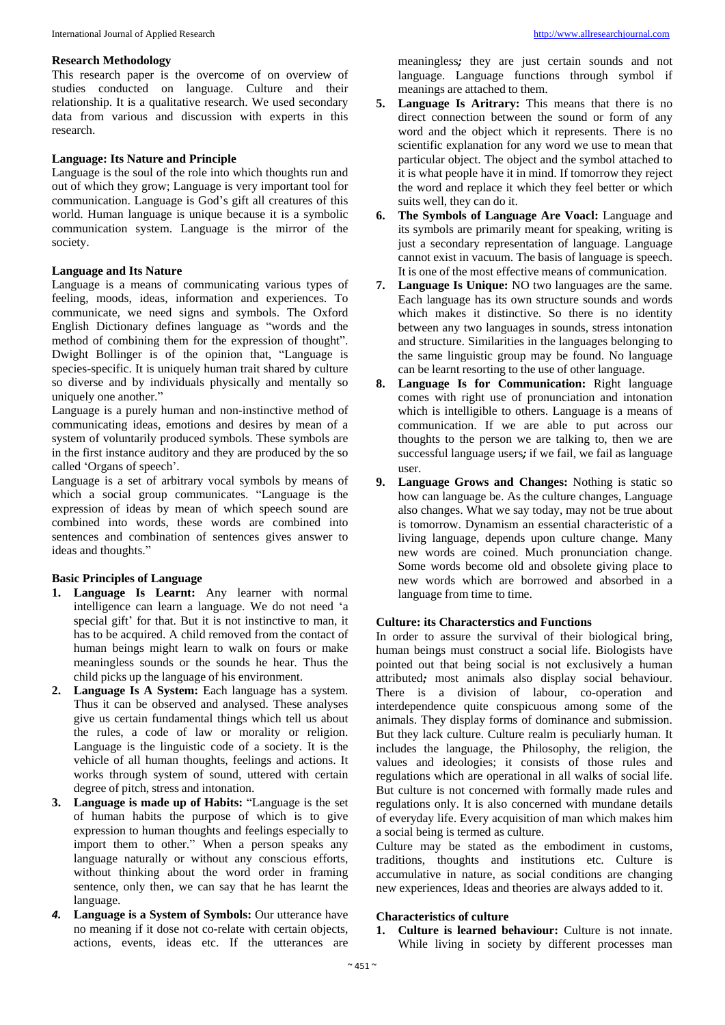## **Research Methodology**

This research paper is the overcome of on overview of studies conducted on language. Culture and their relationship. It is a qualitative research. We used secondary data from various and discussion with experts in this research.

# **Language: Its Nature and Principle**

Language is the soul of the role into which thoughts run and out of which they grow; Language is very important tool for communication. Language is God's gift all creatures of this world. Human language is unique because it is a symbolic communication system. Language is the mirror of the society.

## **Language and Its Nature**

Language is a means of communicating various types of feeling, moods, ideas, information and experiences. To communicate, we need signs and symbols. The Oxford English Dictionary defines language as "words and the method of combining them for the expression of thought". Dwight Bollinger is of the opinion that, "Language is species-specific. It is uniquely human trait shared by culture so diverse and by individuals physically and mentally so uniquely one another."

Language is a purely human and non-instinctive method of communicating ideas, emotions and desires by mean of a system of voluntarily produced symbols. These symbols are in the first instance auditory and they are produced by the so called 'Organs of speech'.

Language is a set of arbitrary vocal symbols by means of which a social group communicates. "Language is the expression of ideas by mean of which speech sound are combined into words, these words are combined into sentences and combination of sentences gives answer to ideas and thoughts."

# **Basic Principles of Language**

- **1. Language Is Learnt:** Any learner with normal intelligence can learn a language. We do not need 'a special gift' for that. But it is not instinctive to man, it has to be acquired. A child removed from the contact of human beings might learn to walk on fours or make meaningless sounds or the sounds he hear. Thus the child picks up the language of his environment.
- **2. Language Is A System:** Each language has a system. Thus it can be observed and analysed. These analyses give us certain fundamental things which tell us about the rules, a code of law or morality or religion. Language is the linguistic code of a society. It is the vehicle of all human thoughts, feelings and actions. It works through system of sound, uttered with certain degree of pitch, stress and intonation.
- **3. Language is made up of Habits:** "Language is the set of human habits the purpose of which is to give expression to human thoughts and feelings especially to import them to other." When a person speaks any language naturally or without any conscious efforts, without thinking about the word order in framing sentence, only then, we can say that he has learnt the language.
- *4.* **Language is a System of Symbols:** Our utterance have no meaning if it dose not co-relate with certain objects, actions, events, ideas etc. If the utterances are

meaningless*;* they are just certain sounds and not language. Language functions through symbol if meanings are attached to them.

- **5. Language Is Aritrary:** This means that there is no direct connection between the sound or form of any word and the object which it represents. There is no scientific explanation for any word we use to mean that particular object. The object and the symbol attached to it is what people have it in mind. If tomorrow they reject the word and replace it which they feel better or which suits well, they can do it.
- **6. The Symbols of Language Are Voacl:** Language and its symbols are primarily meant for speaking, writing is just a secondary representation of language. Language cannot exist in vacuum. The basis of language is speech. It is one of the most effective means of communication.
- **7. Language Is Unique:** NO two languages are the same. Each language has its own structure sounds and words which makes it distinctive. So there is no identity between any two languages in sounds, stress intonation and structure. Similarities in the languages belonging to the same linguistic group may be found. No language can be learnt resorting to the use of other language.
- **8. Language Is for Communication:** Right language comes with right use of pronunciation and intonation which is intelligible to others. Language is a means of communication. If we are able to put across our thoughts to the person we are talking to, then we are successful language users*;* if we fail, we fail as language user.
- **9. Language Grows and Changes:** Nothing is static so how can language be. As the culture changes, Language also changes. What we say today, may not be true about is tomorrow. Dynamism an essential characteristic of a living language, depends upon culture change. Many new words are coined. Much pronunciation change. Some words become old and obsolete giving place to new words which are borrowed and absorbed in a language from time to time.

# **Culture: its Characterstics and Functions**

In order to assure the survival of their biological bring, human beings must construct a social life. Biologists have pointed out that being social is not exclusively a human attributed*;* most animals also display social behaviour. There is a division of labour, co-operation and interdependence quite conspicuous among some of the animals. They display forms of dominance and submission. But they lack culture. Culture realm is peculiarly human. It includes the language, the Philosophy, the religion, the values and ideologies; it consists of those rules and regulations which are operational in all walks of social life. But culture is not concerned with formally made rules and regulations only. It is also concerned with mundane details of everyday life. Every acquisition of man which makes him a social being is termed as culture.

Culture may be stated as the embodiment in customs, traditions, thoughts and institutions etc. Culture is accumulative in nature, as social conditions are changing new experiences, Ideas and theories are always added to it.

# **Characteristics of culture**

**1. Culture is learned behaviour:** Culture is not innate. While living in society by different processes man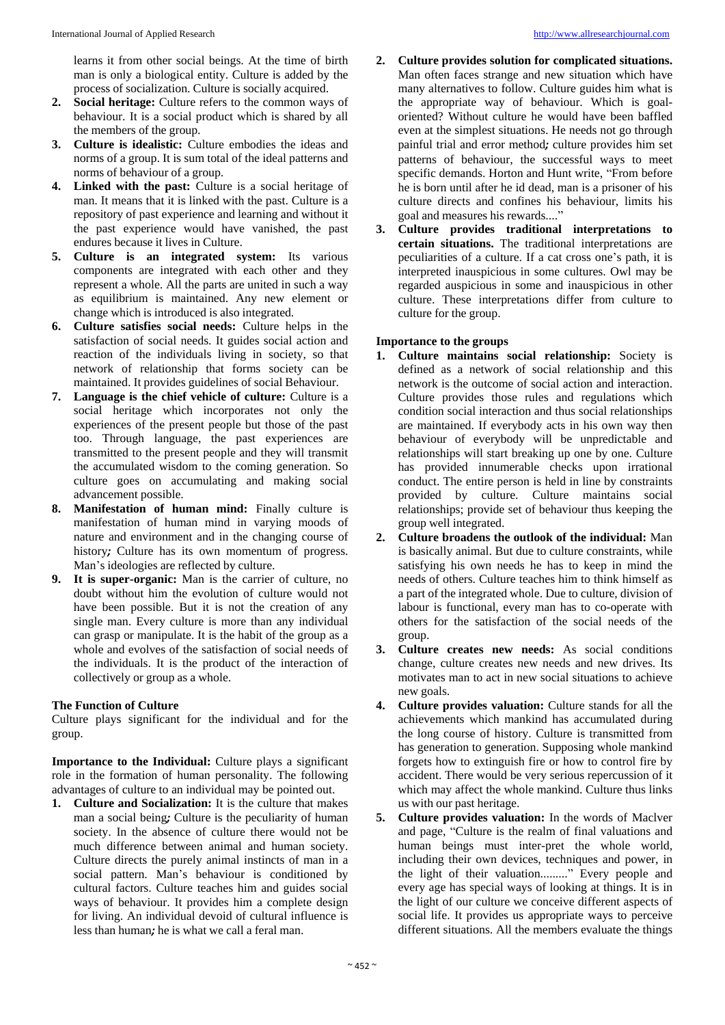learns it from other social beings. At the time of birth man is only a biological entity. Culture is added by the process of socialization. Culture is socially acquired.

- **2. Social heritage:** Culture refers to the common ways of behaviour. It is a social product which is shared by all the members of the group.
- **3. Culture is idealistic:** Culture embodies the ideas and norms of a group. It is sum total of the ideal patterns and norms of behaviour of a group.
- **4. Linked with the past:** Culture is a social heritage of man. It means that it is linked with the past. Culture is a repository of past experience and learning and without it the past experience would have vanished, the past endures because it lives in Culture.
- **5. Culture is an integrated system:** Its various components are integrated with each other and they represent a whole. All the parts are united in such a way as equilibrium is maintained. Any new element or change which is introduced is also integrated.
- **6. Culture satisfies social needs:** Culture helps in the satisfaction of social needs. It guides social action and reaction of the individuals living in society, so that network of relationship that forms society can be maintained. It provides guidelines of social Behaviour.
- **7. Language is the chief vehicle of culture:** Culture is a social heritage which incorporates not only the experiences of the present people but those of the past too. Through language, the past experiences are transmitted to the present people and they will transmit the accumulated wisdom to the coming generation. So culture goes on accumulating and making social advancement possible.
- **8. Manifestation of human mind:** Finally culture is manifestation of human mind in varying moods of nature and environment and in the changing course of history*;* Culture has its own momentum of progress. Man's ideologies are reflected by culture.
- **9. It is super-organic:** Man is the carrier of culture, no doubt without him the evolution of culture would not have been possible. But it is not the creation of any single man. Every culture is more than any individual can grasp or manipulate. It is the habit of the group as a whole and evolves of the satisfaction of social needs of the individuals. It is the product of the interaction of collectively or group as a whole.

# **The Function of Culture**

Culture plays significant for the individual and for the group.

**Importance to the Individual:** Culture plays a significant role in the formation of human personality. The following advantages of culture to an individual may be pointed out.

**1. Culture and Socialization:** It is the culture that makes man a social being*;* Culture is the peculiarity of human society. In the absence of culture there would not be much difference between animal and human society. Culture directs the purely animal instincts of man in a social pattern. Man's behaviour is conditioned by cultural factors. Culture teaches him and guides social ways of behaviour. It provides him a complete design for living. An individual devoid of cultural influence is less than human*;* he is what we call a feral man.

- **2. Culture provides solution for complicated situations.** Man often faces strange and new situation which have many alternatives to follow. Culture guides him what is the appropriate way of behaviour. Which is goaloriented? Without culture he would have been baffled even at the simplest situations. He needs not go through painful trial and error method*;* culture provides him set patterns of behaviour, the successful ways to meet specific demands. Horton and Hunt write, "From before he is born until after he id dead, man is a prisoner of his culture directs and confines his behaviour, limits his goal and measures his rewards...."
- **3. Culture provides traditional interpretations to certain situations.** The traditional interpretations are peculiarities of a culture. If a cat cross one's path, it is interpreted inauspicious in some cultures. Owl may be regarded auspicious in some and inauspicious in other culture. These interpretations differ from culture to culture for the group.

## **Importance to the groups**

- **1. Culture maintains social relationship:** Society is defined as a network of social relationship and this network is the outcome of social action and interaction. Culture provides those rules and regulations which condition social interaction and thus social relationships are maintained. If everybody acts in his own way then behaviour of everybody will be unpredictable and relationships will start breaking up one by one. Culture has provided innumerable checks upon irrational conduct. The entire person is held in line by constraints provided by culture. Culture maintains social relationships; provide set of behaviour thus keeping the group well integrated.
- **2. Culture broadens the outlook of the individual:** Man is basically animal. But due to culture constraints, while satisfying his own needs he has to keep in mind the needs of others. Culture teaches him to think himself as a part of the integrated whole. Due to culture, division of labour is functional, every man has to co-operate with others for the satisfaction of the social needs of the group.
- **3. Culture creates new needs:** As social conditions change, culture creates new needs and new drives. Its motivates man to act in new social situations to achieve new goals.
- **4. Culture provides valuation:** Culture stands for all the achievements which mankind has accumulated during the long course of history. Culture is transmitted from has generation to generation. Supposing whole mankind forgets how to extinguish fire or how to control fire by accident. There would be very serious repercussion of it which may affect the whole mankind. Culture thus links us with our past heritage.
- **5. Culture provides valuation:** In the words of Maclver and page, "Culture is the realm of final valuations and human beings must inter-pret the whole world, including their own devices, techniques and power, in the light of their valuation........." Every people and every age has special ways of looking at things. It is in the light of our culture we conceive different aspects of social life. It provides us appropriate ways to perceive different situations. All the members evaluate the things